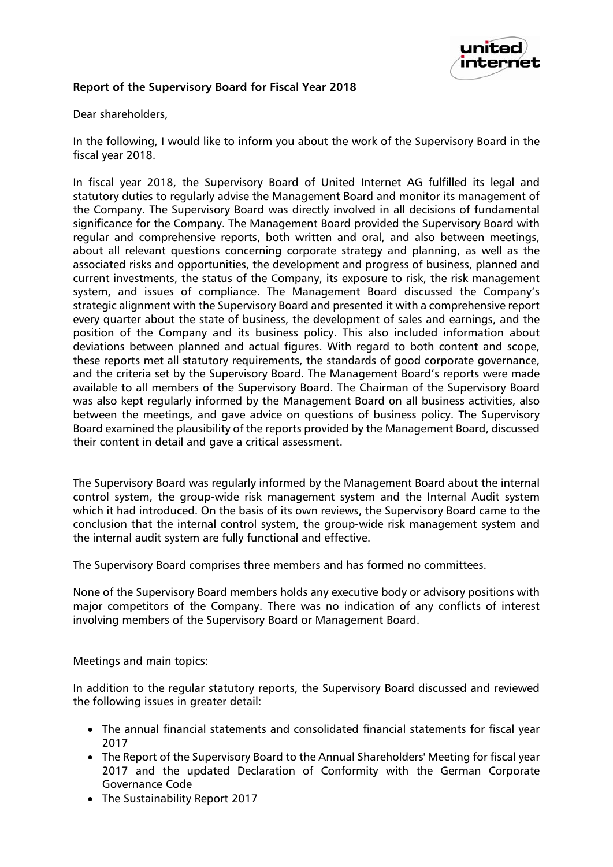

# **Report of the Supervisory Board for Fiscal Year 2018**

Dear shareholders,

In the following, I would like to inform you about the work of the Supervisory Board in the fiscal year 2018.

In fiscal year 2018, the Supervisory Board of United Internet AG fulfilled its legal and statutory duties to regularly advise the Management Board and monitor its management of the Company. The Supervisory Board was directly involved in all decisions of fundamental significance for the Company. The Management Board provided the Supervisory Board with regular and comprehensive reports, both written and oral, and also between meetings, about all relevant questions concerning corporate strategy and planning, as well as the associated risks and opportunities, the development and progress of business, planned and current investments, the status of the Company, its exposure to risk, the risk management system, and issues of compliance. The Management Board discussed the Company's strategic alignment with the Supervisory Board and presented it with a comprehensive report every quarter about the state of business, the development of sales and earnings, and the position of the Company and its business policy. This also included information about deviations between planned and actual figures. With regard to both content and scope, these reports met all statutory requirements, the standards of good corporate governance, and the criteria set by the Supervisory Board. The Management Board's reports were made available to all members of the Supervisory Board. The Chairman of the Supervisory Board was also kept regularly informed by the Management Board on all business activities, also between the meetings, and gave advice on questions of business policy. The Supervisory Board examined the plausibility of the reports provided by the Management Board, discussed their content in detail and gave a critical assessment.

The Supervisory Board was regularly informed by the Management Board about the internal control system, the group-wide risk management system and the Internal Audit system which it had introduced. On the basis of its own reviews, the Supervisory Board came to the conclusion that the internal control system, the group-wide risk management system and the internal audit system are fully functional and effective.

The Supervisory Board comprises three members and has formed no committees.

None of the Supervisory Board members holds any executive body or advisory positions with major competitors of the Company. There was no indication of any conflicts of interest involving members of the Supervisory Board or Management Board.

#### Meetings and main topics:

In addition to the regular statutory reports, the Supervisory Board discussed and reviewed the following issues in greater detail:

- The annual financial statements and consolidated financial statements for fiscal year 2017
- The Report of the Supervisory Board to the Annual Shareholders' Meeting for fiscal year 2017 and the updated Declaration of Conformity with the German Corporate Governance Code
- The Sustainability Report 2017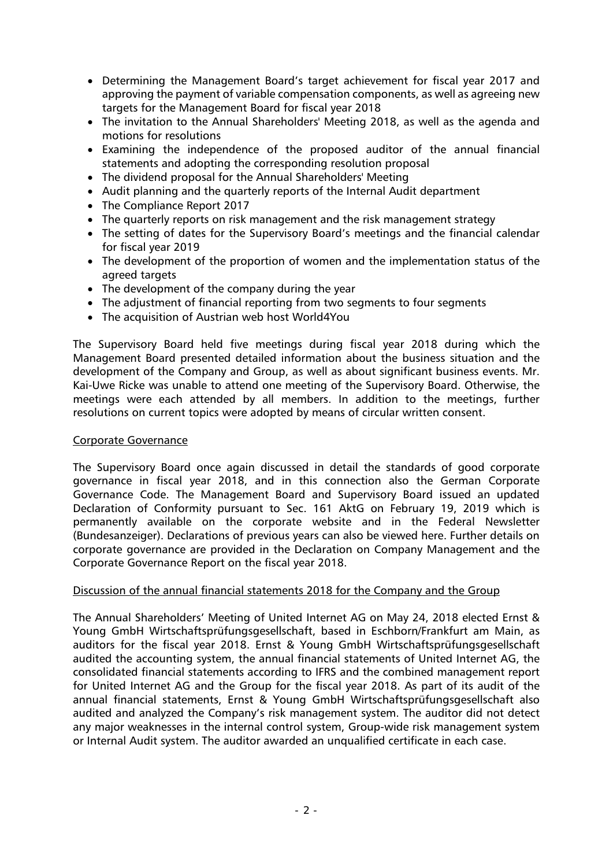- Determining the Management Board's target achievement for fiscal year 2017 and approving the payment of variable compensation components, as well as agreeing new targets for the Management Board for fiscal year 2018
- The invitation to the Annual Shareholders' Meeting 2018, as well as the agenda and motions for resolutions
- Examining the independence of the proposed auditor of the annual financial statements and adopting the corresponding resolution proposal
- The dividend proposal for the Annual Shareholders' Meeting
- Audit planning and the quarterly reports of the Internal Audit department
- The Compliance Report 2017
- The quarterly reports on risk management and the risk management strategy
- The setting of dates for the Supervisory Board's meetings and the financial calendar for fiscal year 2019
- The development of the proportion of women and the implementation status of the agreed targets
- The development of the company during the year
- The adjustment of financial reporting from two segments to four segments
- The acquisition of Austrian web host World4You

The Supervisory Board held five meetings during fiscal year 2018 during which the Management Board presented detailed information about the business situation and the development of the Company and Group, as well as about significant business events. Mr. Kai-Uwe Ricke was unable to attend one meeting of the Supervisory Board. Otherwise, the meetings were each attended by all members. In addition to the meetings, further resolutions on current topics were adopted by means of circular written consent.

## Corporate Governance

The Supervisory Board once again discussed in detail the standards of good corporate governance in fiscal year 2018, and in this connection also the German Corporate Governance Code. The Management Board and Supervisory Board issued an updated Declaration of Conformity pursuant to Sec. 161 AktG on February 19, 2019 which is permanently available on the corporate website and in the Federal Newsletter (Bundesanzeiger). Declarations of previous years can also be viewed here. Further details on corporate governance are provided in the Declaration on Company Management and the Corporate Governance Report on the fiscal year 2018.

## Discussion of the annual financial statements 2018 for the Company and the Group

The Annual Shareholders' Meeting of United Internet AG on May 24, 2018 elected Ernst & Young GmbH Wirtschaftsprüfungsgesellschaft, based in Eschborn/Frankfurt am Main, as auditors for the fiscal year 2018. Ernst & Young GmbH Wirtschaftsprüfungsgesellschaft audited the accounting system, the annual financial statements of United Internet AG, the consolidated financial statements according to IFRS and the combined management report for United Internet AG and the Group for the fiscal year 2018. As part of its audit of the annual financial statements, Ernst & Young GmbH Wirtschaftsprüfungsgesellschaft also audited and analyzed the Company's risk management system. The auditor did not detect any major weaknesses in the internal control system, Group-wide risk management system or Internal Audit system. The auditor awarded an unqualified certificate in each case.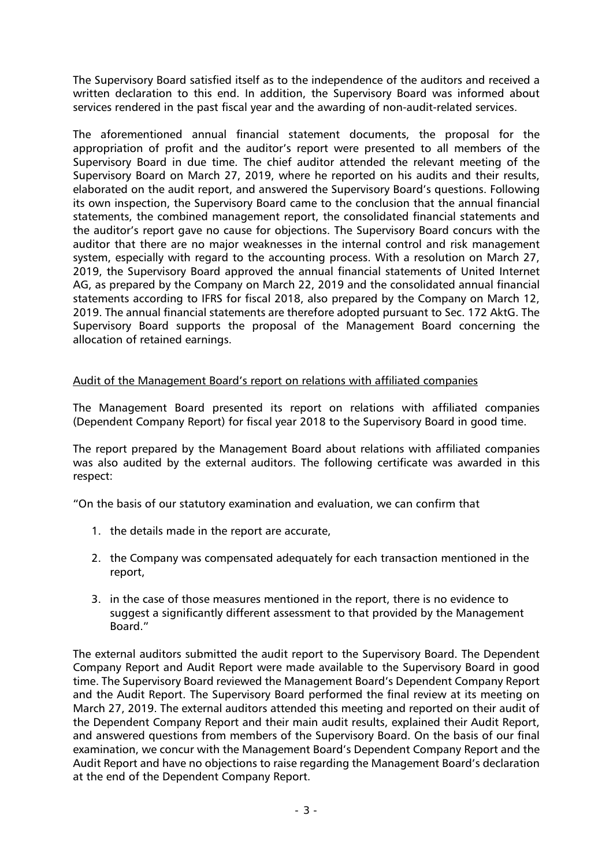The Supervisory Board satisfied itself as to the independence of the auditors and received a written declaration to this end. In addition, the Supervisory Board was informed about services rendered in the past fiscal year and the awarding of non-audit-related services.

The aforementioned annual financial statement documents, the proposal for the appropriation of profit and the auditor's report were presented to all members of the Supervisory Board in due time. The chief auditor attended the relevant meeting of the Supervisory Board on March 27, 2019, where he reported on his audits and their results, elaborated on the audit report, and answered the Supervisory Board's questions. Following its own inspection, the Supervisory Board came to the conclusion that the annual financial statements, the combined management report, the consolidated financial statements and the auditor's report gave no cause for objections. The Supervisory Board concurs with the auditor that there are no major weaknesses in the internal control and risk management system, especially with regard to the accounting process. With a resolution on March 27, 2019, the Supervisory Board approved the annual financial statements of United Internet AG, as prepared by the Company on March 22, 2019 and the consolidated annual financial statements according to IFRS for fiscal 2018, also prepared by the Company on March 12, 2019. The annual financial statements are therefore adopted pursuant to Sec. 172 AktG. The Supervisory Board supports the proposal of the Management Board concerning the allocation of retained earnings.

# Audit of the Management Board's report on relations with affiliated companies

The Management Board presented its report on relations with affiliated companies (Dependent Company Report) for fiscal year 2018 to the Supervisory Board in good time.

The report prepared by the Management Board about relations with affiliated companies was also audited by the external auditors. The following certificate was awarded in this respect:

"On the basis of our statutory examination and evaluation, we can confirm that

- 1. the details made in the report are accurate,
- 2. the Company was compensated adequately for each transaction mentioned in the report,
- 3. in the case of those measures mentioned in the report, there is no evidence to suggest a significantly different assessment to that provided by the Management Board."

The external auditors submitted the audit report to the Supervisory Board. The Dependent Company Report and Audit Report were made available to the Supervisory Board in good time. The Supervisory Board reviewed the Management Board's Dependent Company Report and the Audit Report. The Supervisory Board performed the final review at its meeting on March 27, 2019. The external auditors attended this meeting and reported on their audit of the Dependent Company Report and their main audit results, explained their Audit Report, and answered questions from members of the Supervisory Board. On the basis of our final examination, we concur with the Management Board's Dependent Company Report and the Audit Report and have no objections to raise regarding the Management Board's declaration at the end of the Dependent Company Report.